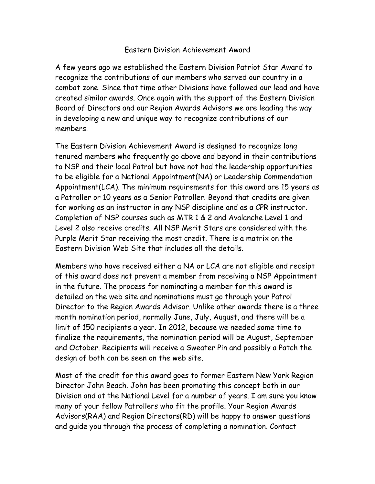## Eastern Division Achievement Award

A few years ago we established the Eastern Division Patriot Star Award to recognize the contributions of our members who served our country in a combat zone. Since that time other Divisions have followed our lead and have created similar awards. Once again with the support of the Eastern Division Board of Directors and our Region Awards Advisors we are leading the way in developing a new and unique way to recognize contributions of our members.

The Eastern Division Achievement Award is designed to recognize long tenured members who frequently go above and beyond in their contributions to NSP and their local Patrol but have not had the leadership opportunities to be eligible for a National Appointment(NA) or Leadership Commendation Appointment(LCA). The minimum requirements for this award are 15 years as a Patroller or 10 years as a Senior Patroller. Beyond that credits are given for working as an instructor in any NSP discipline and as a CPR instructor. Completion of NSP courses such as MTR 1 & 2 and Avalanche Level 1 and Level 2 also receive credits. All NSP Merit Stars are considered with the Purple Merit Star receiving the most credit. There is a matrix on the Eastern Division Web Site that includes all the details.

Members who have received either a NA or LCA are not eligible and receipt of this award does not prevent a member from receiving a NSP Appointment in the future. The process for nominating a member for this award is detailed on the web site and nominations must go through your Patrol Director to the Region Awards Advisor. Unlike other awards there is a three month nomination period, normally June, July, August, and there will be a limit of 150 recipients a year. In 2012, because we needed some time to finalize the requirements, the nomination period will be August, September and October. Recipients will receive a Sweater Pin and possibly a Patch the design of both can be seen on the web site.

Most of the credit for this award goes to former Eastern New York Region Director John Beach. John has been promoting this concept both in our Division and at the National Level for a number of years. I am sure you know many of your fellow Patrollers who fit the profile. Your Region Awards Advisors(RAA) and Region Directors(RD) will be happy to answer questions and guide you through the process of completing a nomination. Contact